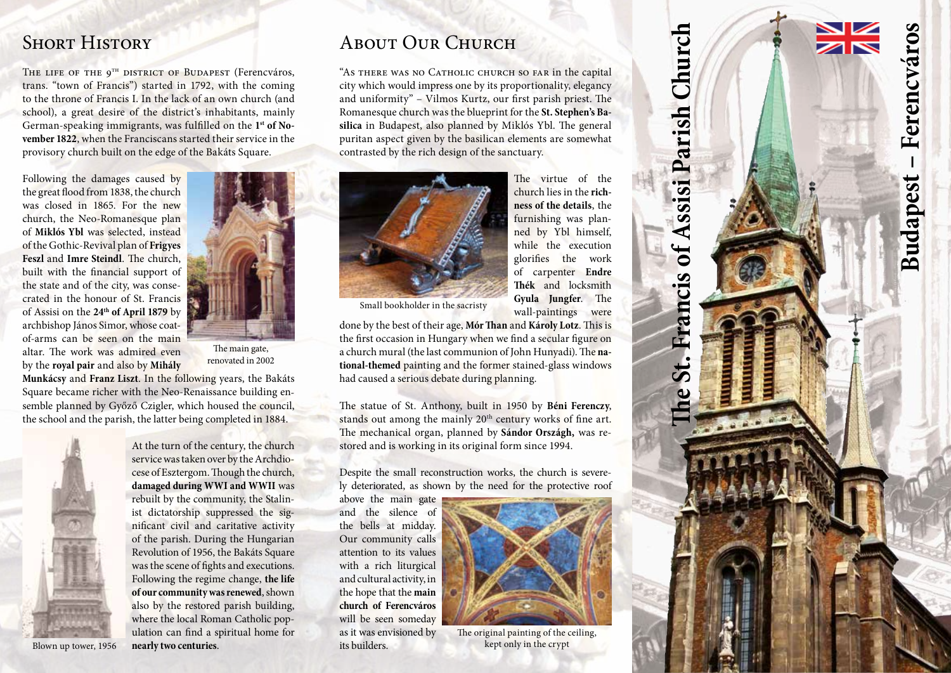## **SHORT HISTORY**

THE LIFE OF THE 9<sup>TH</sup> DISTRICT OF BUDAPEST (Ferencyáros, trans. "town of Francis") started in 1792, with the coming to the throne of Francis I. In the lack of an own church (and school), a great desire of the district's inhabitants, mainly German-speaking immigrants, was fulfilled on the **1st of No vember 1822**, when the Franciscans started their service in the provisory church built on the edge of the Bakáts Square.

Following the damages caused by the great flood from 1838, the church was closed in 1865. For the new church, the Neo-Romanesque plan of **Miklós Ybl** was selected, instead of the Gothic-Revival plan of **Frigyes Feszl** and **Imre Steindl**. The church, built with the financial support of the state and of the city, was conse crated in the honour of St. Francis of Assisi on the **24th of April 1879** by archbishop János Simor, whose coatof-arms can be seen on the main altar. The work was admired even by the **royal pair** and also by **Mihály** 



The main gate, renovated in 2002

**Munkácsy** and **Franz Liszt**. In the following years, the Bakáts Square became richer with the Neo-Renaissance building en semble planned by Győző Czigler, which housed the council, the school and the parish, the latter being completed in 1884.



At the turn of the century, the church service was taken over by the Archdio cese of Esztergom. Though the church, **damaged during WWI and WWII** was rebuilt by the community, the Stalin ist dictatorship suppressed the sig nificant civil and caritative activity of the parish. During the Hungarian Revolution of 1956, the Bakáts Square was the scene of fights and executions. Following the regime change, **the life of our community was renewed**, shown also by the restored parish building, where the local Roman Catholic pop ulation can find a spiritual home for **nearly two centuries** .

# ABOUT OUR CHURCH

"As THERE WAS NO CATHOLIC CHURCH SO FAR in the capital city which would impress one by its proportionality, elegancy and uniformity" – Vilmos Kurtz, our first parish priest. The Romanesque church was the blueprint for the **St. Stephen's Ba silica** in Budapest, also planned by Miklós Ybl. The general puritan aspect given by the basilican elements are somewhat contrasted by the rich design of the sanctuary.



The virtue of the church lies in the **richness of the details**, the furnishing was planned by Ybl himself, while the execution glorifies the work of carpenter **Endre Thék** and locksmith **Gyula Jungfer**. The wall-paintings were

Small bookholder in the sacristy

done by the best of their age, **Mór Than** and **Károly Lotz**. This is the first occasion in Hungary when we find a secular figure on a church mural (the last communion of John Hunyadi). The **na tional-themed** painting and the former stained-glass windows had caused a serious debate during planning.

The statue of St. Anthony, built in 1950 by **Béni Ferenczy**, stands out among the mainly 20<sup>th</sup> century works of fine art. The mechanical organ, planned by **Sándor Országh,** was re stored and is working in its original form since 1994.

Despite the small reconstruction works, the church is severe ly deteriorated, as shown by the need for the protective roof

above the main gate and the silence of the bells at midday. Our community calls attention to its values with a rich liturgical and cultural activity, in the hope that the **main church of Ferencváros** will be seen someday as it was envisioned by its builders.



The original painting of the ceiling, kept only in the crypt